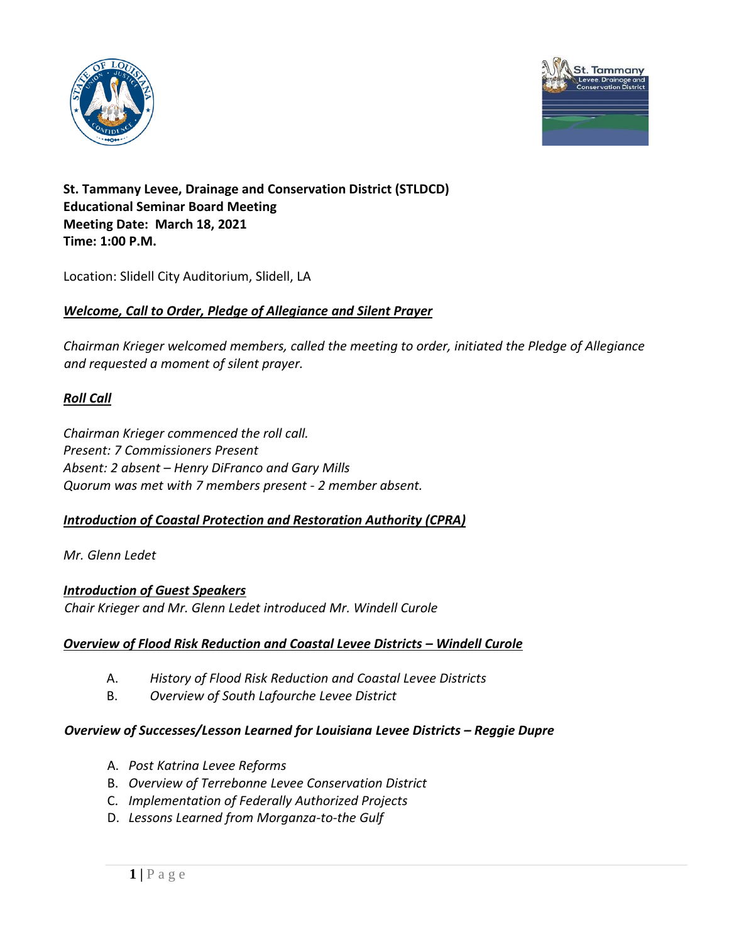



# **St. Tammany Levee, Drainage and Conservation District (STLDCD) Educational Seminar Board Meeting Meeting Date: March 18, 2021 Time: 1:00 P.M.**

Location: Slidell City Auditorium, Slidell, LA

## *Welcome, Call to Order, Pledge of Allegiance and Silent Prayer*

*Chairman Krieger welcomed members, called the meeting to order, initiated the Pledge of Allegiance and requested a moment of silent prayer.* 

# *Roll Call*

*Chairman Krieger commenced the roll call. Present: 7 Commissioners Present Absent: 2 absent – Henry DiFranco and Gary Mills Quorum was met with 7 members present - 2 member absent.* 

### *Introduction of Coastal Protection and Restoration Authority (CPRA)*

*Mr. Glenn Ledet*

### *Introduction of Guest Speakers*

*Chair Krieger and Mr. Glenn Ledet introduced Mr. Windell Curole*

### *Overview of Flood Risk Reduction and Coastal Levee Districts – Windell Curole*

- A. *History of Flood Risk Reduction and Coastal Levee Districts*
- B. *Overview of South Lafourche Levee District*

#### *Overview of Successes/Lesson Learned for Louisiana Levee Districts – Reggie Dupre*

- A. *Post Katrina Levee Reforms*
- B. *Overview of Terrebonne Levee Conservation District*
- C. *Implementation of Federally Authorized Projects*
- D. *Lessons Learned from Morganza-to-the Gulf*